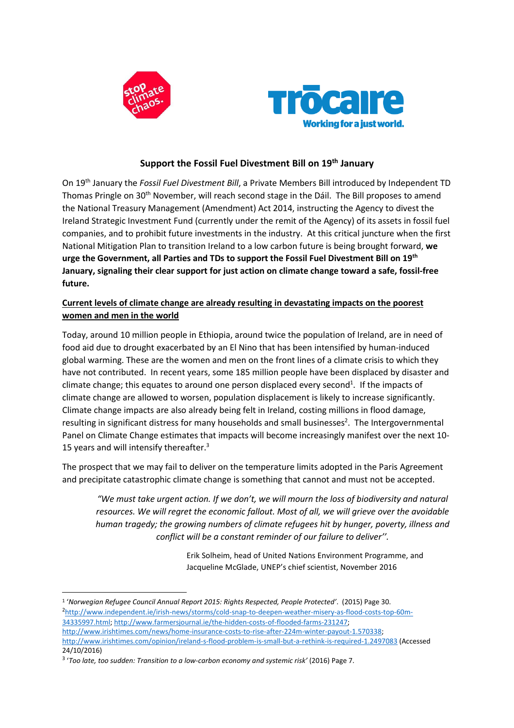



# **Support the Fossil Fuel Divestment Bill on 19th January**

On 19th January the *Fossil Fuel Divestment Bill*, a Private Members Bill introduced by Independent TD Thomas Pringle on 30<sup>th</sup> November, will reach second stage in the Dáil. The Bill proposes to amend the National Treasury Management (Amendment) Act 2014, instructing the Agency to divest the Ireland Strategic Investment Fund (currently under the remit of the Agency) of its assets in fossil fuel companies, and to prohibit future investments in the industry. At this critical juncture when the first National Mitigation Plan to transition Ireland to a low carbon future is being brought forward, **we urge the Government, all Parties and TDs to support the Fossil Fuel Divestment Bill on 19th January, signaling their clear support for just action on climate change toward a safe, fossil-free future.**

## **Current levels of climate change are already resulting in devastating impacts on the poorest women and men in the world**

Today, around 10 million people in Ethiopia, around twice the population of Ireland, are in need of food aid due to drought exacerbated by an El Nino that has been intensified by human-induced global warming. These are the women and men on the front lines of a climate crisis to which they have not contributed. In recent years, some 185 million people have been displaced by disaster and climate change; this equates to around one person displaced every second<sup>1</sup>. If the impacts of climate change are allowed to worsen, population displacement is likely to increase significantly. Climate change impacts are also already being felt in Ireland, costing millions in flood damage, resulting in significant distress for many households and small businesses<sup>2</sup>. The Intergovernmental Panel on Climate Change estimates that impacts will become increasingly manifest over the next 10- 15 years and will intensify thereafter. $3$ 

The prospect that we may fail to deliver on the temperature limits adopted in the Paris Agreement and precipitate catastrophic climate change is something that cannot and must not be accepted.

"We must take urgent action. If we don't, we will mourn the loss of biodiversity and natural *resources. We will regret the economic fallout. Most of all, we will grieve over the avoidable human tragedy; the growing numbers of climate refugees hit by hunger, poverty, illness and conflict will be a constant reminder of our failure to deliver''.*

> Erik Solheim, head of United Nations Environment Programme, and Jacqueline McGlade, UNEP's chief scientist, November 2016

<sup>1</sup> '*Norwegian Refugee Council Annual Report 2015: Rights Respected, People Protected'*. (2015) Page 30. <sup>2</sup>[http://www.independent.ie/irish-news/storms/cold-snap-to-deepen-weather-misery-as-flood-costs-top-60m-](http://www.independent.ie/irish-news/storms/cold-snap-to-deepen-weather-misery-as-flood-costs-top-60m-34335997.html)[34335997.html;](http://www.independent.ie/irish-news/storms/cold-snap-to-deepen-weather-misery-as-flood-costs-top-60m-34335997.html) [http://www.farmersjournal.ie/the-hidden-costs-of-flooded-farms-231247;](http://www.farmersjournal.ie/the-hidden-costs-of-flooded-farms-231247) [http://www.irishtimes.com/news/home-insurance-costs-to-rise-after-224m-winter-payout-1.570338;](http://www.irishtimes.com/news/home-insurance-costs-to-rise-after-224m-winter-payout-1.570338) <http://www.irishtimes.com/opinion/ireland-s-flood-problem-is-small-but-a-rethink-is-required-1.2497083> (Accessed 24/10/2016)

<sup>3</sup> '*Too late, too sudden: Transition to a low-carbon economy and systemic risk'* (2016) Page 7.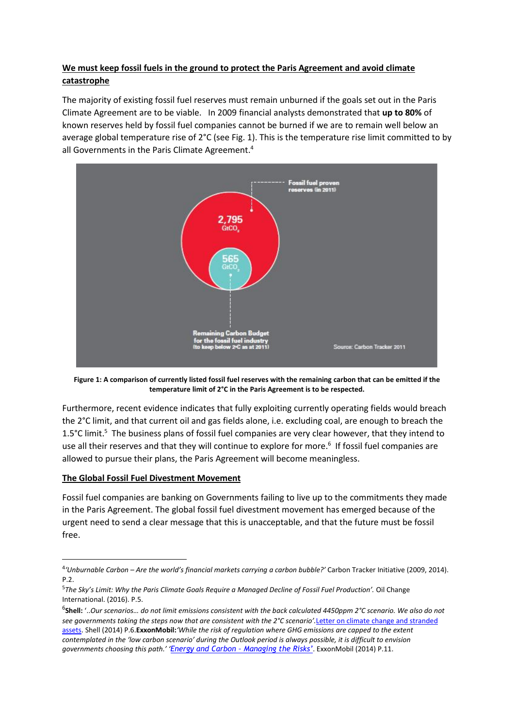# **We must keep fossil fuels in the ground to protect the Paris Agreement and avoid climate catastrophe**

The majority of existing fossil fuel reserves must remain unburned if the goals set out in the Paris Climate Agreement are to be viable.In 2009 financial analysts demonstrated that **up to 80%** of known reserves held by fossil fuel companies cannot be burned if we are to remain well below an average global temperature rise of 2°C (see Fig. 1). This is the temperature rise limit committed to by all Governments in the Paris Climate Agreement.<sup>4</sup>



Figure 1: A comparison of currently listed fossil fuel reserves with the remaining carbon that can be emitted if the **temperature limit of 2°C in the Paris Agreement is to be respected.**

Furthermore, recent evidence indicates that fully exploiting currently operating fields would breach the 2°C limit, and that current oil and gas fields alone, i.e. excluding coal, are enough to breach the 1.5°C limit.<sup>5</sup> The business plans of fossil fuel companies are very clear however, that they intend to use all their reserves and that they will continue to explore for more.<sup>6</sup> If fossil fuel companies are allowed to pursue their plans, the Paris Agreement will become meaningless.

#### **The Global Fossil Fuel Divestment Movement**

 $\overline{a}$ 

Fossil fuel companies are banking on Governments failing to live up to the commitments they made in the Paris Agreement. The global fossil fuel divestment movement has emerged because of the urgent need to send a clear message that this is unacceptable, and that the future must be fossil free.

<sup>4</sup> *'Unburnable Carbon – Are the world's financial markets carrying a carbon bubble?'* Carbon Tracker Initiative (2009, 2014). P.2.

<sup>5</sup> *The Sky's Limit: Why the Paris Climate Goals Require a Managed Decline of Fossil Fuel Production'.* Oil Change International. (2016). P.5.

 $^6$ **Shell:** '…Our scenarios… do not limit emissions consistent with the back calculated 4450ppm 2°C scenario. We also do not *see governments taking the steps now that are consistent with the 2°C scenario'.*Letter on climate change and [stranded](http://s02.static-shell.com/content/dam/shell-new/local/corporate/corporate/downloads/pdf/investor/presentations/2014/sri-web-response-climate-change-may14.pdf) [assets.](http://s02.static-shell.com/content/dam/shell-new/local/corporate/corporate/downloads/pdf/investor/presentations/2014/sri-web-response-climate-change-may14.pdf) Shell (2014) P.6.**ExxonMobil:***'While the risk of regulation where GHG emissions are capped to the extent* contemplated in the 'low carbon scenario' during the Outlook period is always possible, it is difficult to envision *governments choosing this path.' 'Energy and Carbon – [Managing](http://cdn.exxonmobil.com/~/media/global/files/energy-and-environment/report---energy-and-carbon---managing-the-risks.pdf) the Risks'*. ExxonMobil (2014) P.11.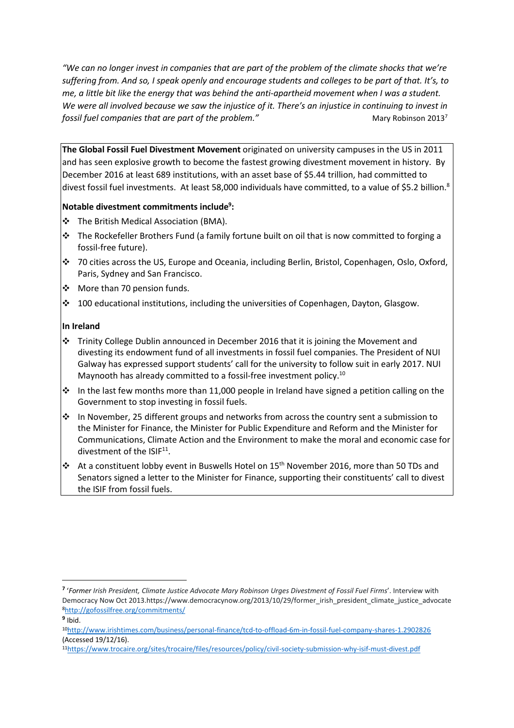"We can no longer invest in companies that are part of the problem of the climate shocks that we're suffering from. And so, I speak openly and encourage students and colleges to be part of that. It's, to *me, a little bit like the energy that was behind the anti-apartheid movement when I was a student.* We were all involved because we saw the injustice of it. There's an injustice in continuing to invest in *fossil fuel companies that are part of the problem."* Mary Robinson 2013<sup>7</sup>

**The Global Fossil Fuel Divestment Movement** originated on university campuses in the US in 2011 and has seen explosive growth to become the fastest growing divestment movement in history. By December 2016 at least 689 institutions, with an asset base of \$5.44 trillion, had committed to divest fossil fuel investments. At least 58,000 individuals have committed, to a value of \$5.2 billion.<sup>8</sup>

## **Notable divestment commitments include<sup>9</sup> :**

- ❖ The British Medical Association (BMA).
- ❖ The Rockefeller Brothers Fund (a family fortune built on oil that is now committed to forging a fossil-free future).
- ❖ 70 cities across the US, Europe and Oceania, including Berlin, Bristol, Copenhagen, Oslo, Oxford, Paris, Sydney and San Francisco.
- ❖ More than 70 pension funds.
- ❖ 100 educational institutions, including the universities of Copenhagen, Dayton, Glasgow.

## **In Ireland**

- $\dots$  Trinity College Dublin announced in December 2016 that it is joining the Movement and divesting its endowment fund of all investments in fossil fuel companies. The President of NUI Galway has expressed support students' call for the university to follow suit in early 2017. NUI Maynooth has already committed to a fossil-free investment policy.<sup>10</sup>
- $\dots$  In the last few months more than 11,000 people in Ireland have signed a petition calling on the Government to stop investing in fossil fuels.
- $\cdot \cdot$  In November, 25 different groups and networks from across the country sent a submission to the Minister for Finance, the Minister for Public Expenditure and Reform and the Minister for Communications, Climate Action and the Environment to make the moral and economic case for divestment of the ISIF<sup>11</sup>.
- ❖ At a constituent lobby event in Buswells Hotel on 15<sup>th</sup> November 2016, more than 50 TDs and Senators signed a letter to the Minister for Finance, supporting their constituents' call to divest the ISIF from fossil fuels.

 $^\text{\textit{7}}$  'Former Irish President, Climate Justice Advocate Mary Robinson Urges Divestment of Fossil Fuel Firms'. Interview with Democracy Now Oct 2013.https://www.democracynow.org/2013/10/29/former\_irish\_president\_climate\_justice\_advocate <sup>8</sup><http://gofossilfree.org/commitments/>

**<sup>9</sup>** Ibid.

<sup>10</sup><http://www.irishtimes.com/business/personal-finance/tcd-to-offload-6m-in-fossil-fuel-company-shares-1.2902826> (Accessed 19/12/16).

<sup>11</sup><https://www.trocaire.org/sites/trocaire/files/resources/policy/civil-society-submission-why-isif-must-divest.pdf>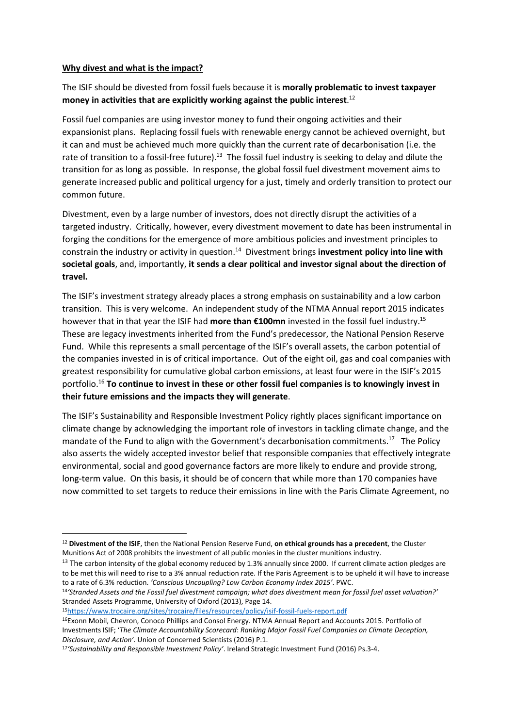#### **Why divest and what is the impact?**

# The ISIF should be divested from fossil fuels because it is **morally problematic to invest taxpayer money in activities that are explicitly working against the public interest**. 12

Fossil fuel companies are using investor money to fund their ongoing activities and their expansionist plans. Replacing fossil fuels with renewable energy cannot be achieved overnight, but it can and must be achieved much more quickly than the current rate of decarbonisation (i.e. the rate of transition to a fossil-free future). $^{\rm 13}$  The fossil fuel industry is seeking to delay and dilute the transition for as long as possible. In response, the global fossil fuel divestment movement aims to generate increased public and political urgency for a just, timely and orderly transition to protect our common future.

Divestment, even by a large number of investors, does not directly disrupt the activities of a targeted industry. Critically, however, every divestment movement to date has been instrumental in forging the conditions for the emergence of more ambitious policies and investment principles to constrain the industry or activity in question. 14 Divestment brings **investment policy into line with societal goals**, and, importantly, **it sends a clear political and investor signal about the direction of travel.**

The ISIF's investment strategy already places a strong emphasis on sustainability and a low carbon transition. This is very welcome. An independent study of the NTMA Annual report 2015 indicates however that in that year the ISIF had **more than €100mn** invested in the fossil fuel industry.<sup>15</sup> These are legacy investments inherited from the Fund's predecessor, the National Pension Reserve Fund. While this represents a small percentage of the ISIF's overall assets, the carbon potential of the companies invested in is of critical importance. Out of the eight oil, gas and coal companies with greatest responsibility for cumulative global carbon emissions, at least four were in the ISIF's 2015 portfolio.<sup>16</sup> **To continue to invest in these or other fossil fuel companies is to knowingly invest in their future emissions and the impacts they will generate**.

The ISIF's Sustainability and Responsible Investment Policy rightly places significant importance on climate change by acknowledging the important role of investors in tackling climate change, and the mandate of the Fund to align with the Government's decarbonisation commitments.<sup>17</sup> The Policy also asserts the widely accepted investor belief that responsible companies that effectively integrate environmental, social and good governance factors are more likely to endure and provide strong, long-term value. On this basis, it should be of concern that while more than 170 companies have now committed to set targets to reduce their emissions in line with the Paris Climate Agreement, no

<sup>15</sup><https://www.trocaire.org/sites/trocaire/files/resources/policy/isif-fossil-fuels-report.pdf>

<sup>12</sup> **Divestment of the ISIF**, then the National Pension Reserve Fund, **on ethical grounds has a precedent**, the Cluster Munitions Act of 2008 prohibits the investment of all public monies in the cluster munitions industry.

 $13$  The carbon intensity of the global economy reduced by 1.3% annually since 2000. If current climate action pledges are to be met this will need to rise to a 3% annual reduction rate. If the Paris Agreement is to be upheld it will have to increase to a rate of 6.3% reduction. *'Conscious Uncoupling? Low Carbon Economy Index 2015'*. PWC.

<sup>14&#</sup>x27;Stranded Assets and the Fossil fuel divestment campaign; what does divestment mean for fossil fuel asset valuation?' Stranded Assets Programme, University of Oxford (2013), Page 14.

<sup>16</sup>Exonn Mobil, Chevron, Conoco Phillips and Consol Energy. NTMA Annual Report and Accounts 2015. Portfolio of Investments ISIF; '*The Climate Accountability Scorecard*: *Ranking Major Fossil Fuel Companies on Climate Deception, Disclosure, and Action'.* Union of Concerned Scientists (2016) P.1.

<sup>17</sup>*'Sustainability and Responsible Investment Policy'*. Ireland Strategic Investment Fund (2016) Ps.3-4.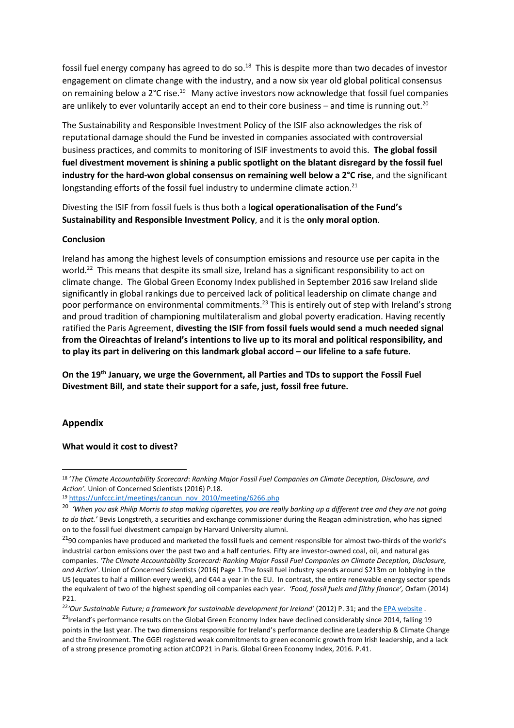fossil fuel energy company has agreed to do so. $^{18}$  This is despite more than two decades of investor engagement on climate change with the industry, and a now six year old global political consensus on remaining below a 2°C rise.<sup>19</sup> Many active investors now acknowledge that fossil fuel companies are unlikely to ever voluntarily accept an end to their core business - and time is running out.<sup>20</sup>

The Sustainability and Responsible Investment Policy of the ISIF also acknowledges the risk of reputational damage should the Fund be invested in companies associated with controversial business practices, and commits to monitoring of ISIF investments to avoid this. **The global fossil fuel divestment movement is shining a public spotlight on the blatant disregard by the fossil fuel industry for the hard-won global consensus on remaining well below a 2°C rise**, and the significant longstanding efforts of the fossil fuel industry to undermine climate action.<sup>21</sup>

Divesting the ISIF from fossil fuels is thus both a **logical operationalisation of the Fund's Sustainability and Responsible Investment Policy**, and it is the **only moral option**.

#### **Conclusion**

Ireland has among the highest levels of consumption emissions and resource use per capita in the world.<sup>22</sup> This means that despite its small size, Ireland has a significant responsibility to act on climate change. The Global Green Economy Index published in September 2016 saw Ireland slide significantly in global rankings due to perceived lack of political leadership on climate change and poor performance on environmental commitments.<sup>23</sup> This is entirely out of step with Ireland's strong and proud tradition of championing multilateralism and global poverty eradication. Having recently ratified the Paris Agreement, **divesting the ISIF from fossil fuels would send a much needed signal from the Oireachtas of Ireland's intentions to live up to its moral and political responsibility, and to play its part in delivering on this landmark global accord – our lifeline to a safe future.** 

**On the 19th January, we urge the Government, all Parties and TDs to support the Fossil Fuel Divestment Bill, and state their support for a safe, just, fossil free future.**

#### **Appendix**

 $\overline{a}$ 

#### **What would it cost to divest?**

<sup>18</sup> '*The Climate Accountability Scorecard*: *Ranking Major Fossil Fuel Companies on Climate Deception, Disclosure, and Action'.* Union of Concerned Scientists (2016) P.18.

<sup>19</sup> [https://unfccc.int/meetings/cancun\\_nov\\_2010/meeting/6266.php](https://unfccc.int/meetings/cancun_nov_2010/meeting/6266.php)

<sup>&</sup>lt;sup>20</sup> 'When you ask Philip Morris to stop making cigarettes, you are really barking up a different tree and they are not going *to do that.'* Bevis Longstreth, a securities and exchange commissioner during the Reagan administration, who has signed on to the fossil fuel [divestment](https://www.theguardian.com/environment/2015/feb/20/harvard-celebrity-alumni-fossil-fuel-divestment-campaign-open-letter) campaign by Harvard University alumni.

<sup>&</sup>lt;sup>21</sup>90 companies have produced and marketed the fossil fuels and cement responsible for almost two-thirds of the world's industrial carbon emissions over the past two and a half centuries. Fifty are investor-owned coal, oil, and natural gas companies. *'The Climate Accountability Scorecard: Ranking Major Fossil Fuel Companies on Climate Deception, Disclosure, and Action'*. Union of Concerned Scientists (2016) Page 1.The fossil fuel industry spends around \$213m on lobbying in the US (equates to half a million every week), and €44 a year in the EU. In contrast, the entire renewable energy sector spends the equivalent of two of the highest spending oil companies each year. *'Food, fossil fuels and filthy finance',* Oxfam (2014) P21.

<sup>22</sup>*'Our Sustainable Future; a framework for sustainable development for Ireland'* (2012) P. 31; and the EPA [website](http://www.epa.ie/climate/communicatingclimatescience/whatisclimatechange/whatareirelandsgreenhousegasemissionslike/) .

<sup>&</sup>lt;sup>23</sup>Ireland's performance results on the Global Green Economy Index have declined considerably since 2014, falling 19 points in the last year. The two dimensions responsible for Ireland's performance decline are Leadership & Climate Change and the Environment. The GGEI registered weak commitments to green economic growth from Irish leadership, and a lack of a strong presence promoting action atCOP21 in Paris. Global Green Economy Index, 2016. P.41.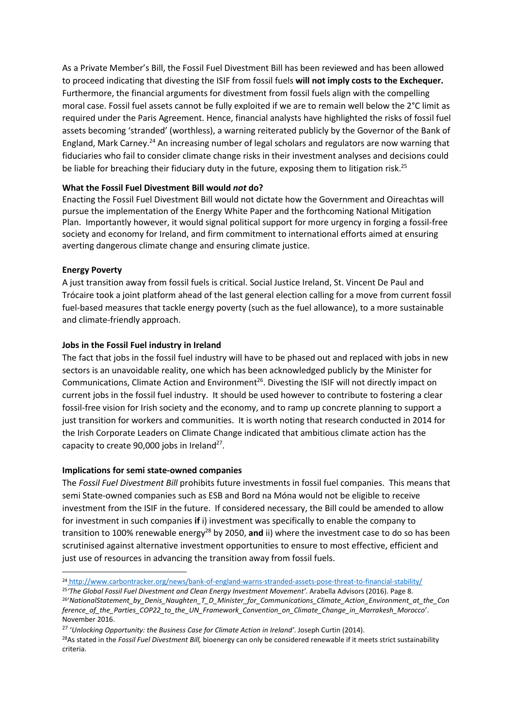As a Private Member's Bill, the Fossil Fuel Divestment Bill has been reviewed and has been allowed to proceed indicating that divesting the ISIF from fossil fuels **will not imply costs to the Exchequer.** Furthermore, the financial arguments for divestment from fossil fuels align with the compelling moral case. Fossil fuel assets cannot be fully exploited if we are to remain well below the 2°C limit as required under the Paris Agreement. Hence, financial analysts have highlighted the risks of fossil fuel assets becoming 'stranded' (worthless), a warning reiterated publicly by the Governor of the Bank of England, Mark Carney.<sup>24</sup> An increasing number of legal scholars and regulators are now warning that fiduciaries who fail to consider climate change risks in their investment analyses and decisions could be liable for breaching their fiduciary duty in the future, exposing them to litigation risk.<sup>25</sup>

## **What the Fossil Fuel Divestment Bill would** *not* **do?**

Enacting the Fossil Fuel Divestment Bill would not dictate how the Government and Oireachtas will pursue the implementation of the Energy White Paper and the forthcoming National Mitigation Plan. Importantly however, it would signal political support for more urgency in forging a fossil-free society and economy for Ireland, and firm commitment to international efforts aimed at ensuring averting dangerous climate change and ensuring climate justice.

## **Energy Poverty**

 $\overline{a}$ 

A just transition away from fossil fuels is critical. Social Justice Ireland, St. Vincent De Paul and Trócaire took a joint platform ahead of the last general election calling for a move from current fossil fuel-based measures that tackle energy poverty (such as the fuel allowance), to a more sustainable and climate-friendly approach.

## **Jobs in the Fossil Fuel industry in Ireland**

The fact that jobs in the fossil fuel industry will have to be phased out and replaced with jobs in new sectors is an unavoidable reality, one which has been acknowledged publicly by the Minister for Communications, Climate Action and Environment<sup>26</sup>. Divesting the ISIF will not directly impact on current jobs in the fossil fuel industry. It should be used however to contribute to fostering a clear fossil-free vision for Irish society and the economy, and to ramp up concrete planning to support a just transition for workers and communities. It is worth noting that [research](http://bit.ly/CLG2015) conducted in 2014 for the Irish Corporate Leaders on Climate Change [indicated](http://www.irishtimes.com/sponsored/clear-climate-action-by-irish-business-and-the-government-could-create-90-000-jobs-1.2001107) that ambitious climate action has the capacity to create 90,000 jobs in Ireland<sup>27</sup>.

#### **Implications for semi state-owned companies**

The *Fossil Fuel Divestment Bill* prohibits future investments in fossil fuel companies. This means that semi State-owned companies such as ESB and Bord na Móna would not be eligible to receive investment from the ISIF in the future. If considered necessary, the Bill could be amended to allow for investment in such companies **if** i) investment was specifically to enable the company to transition to 100% renewable energy<sup>28</sup> by 2050, and ii) where the investment case to do so has been scrutinised against alternative investment opportunities to ensure to most effective, efficient and just use of resources in advancing the transition away from fossil fuels.

<sup>24</sup> <http://www.carbontracker.org/news/bank-of-england-warns-stranded-assets-pose-threat-to-financial-stability/>

<sup>25</sup> *'The Global Fossil Fuel Divestment and Clean Energy Investment Movement'*. Arabella Advisors (2016). Page 8.

<sup>26</sup> '*NationalStatement\_by\_Denis\_Naughten\_T\_D\_Minister\_for\_Communications\_Climate\_Action\_Environment\_at\_the\_Con ference\_of\_the\_Parties\_COP22\_to\_the\_UN\_Framework\_Convention\_on\_Climate\_Change\_in\_Marrakesh\_Morocco*'. November 2016.

<sup>27</sup> '*Unlocking Opportunity: the Business Case for Climate Action in Ireland'*. Joseph Curtin (2014).

<sup>28</sup>As stated in the *Fossil Fuel Divestment Bill,* bioenergy can only be considered renewable if it meets strict sustainability criteria.